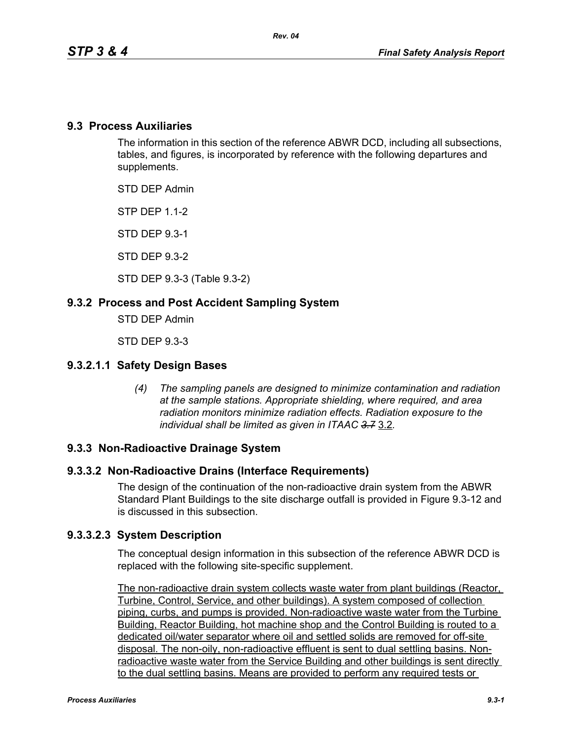### **9.3 Process Auxiliaries**

The information in this section of the reference ABWR DCD, including all subsections, tables, and figures, is incorporated by reference with the following departures and supplements.

STD DEP Admin

STP DEP 1.1-2

STD DEP 9.3-1

STD DEP 9.3-2

STD DEP 9.3-3 (Table 9.3-2)

### **9.3.2 Process and Post Accident Sampling System**

STD DEP Admin

STD DEP 9.3-3

#### **9.3.2.1.1 Safety Design Bases**

*(4) The sampling panels are designed to minimize contamination and radiation at the sample stations. Appropriate shielding, where required, and area radiation monitors minimize radiation effects. Radiation exposure to the individual shall be limited as given in ITAAC 3.7* 3.2*.*

#### **9.3.3 Non-Radioactive Drainage System**

#### **9.3.3.2 Non-Radioactive Drains (Interface Requirements)**

The design of the continuation of the non-radioactive drain system from the ABWR Standard Plant Buildings to the site discharge outfall is provided in Figure 9.3-12 and is discussed in this subsection.

#### **9.3.3.2.3 System Description**

The conceptual design information in this subsection of the reference ABWR DCD is replaced with the following site-specific supplement.

The non-radioactive drain system collects waste water from plant buildings (Reactor, Turbine, Control, Service, and other buildings). A system composed of collection piping, curbs, and pumps is provided. Non-radioactive waste water from the Turbine Building, Reactor Building, hot machine shop and the Control Building is routed to a dedicated oil/water separator where oil and settled solids are removed for off-site disposal. The non-oily, non-radioactive effluent is sent to dual settling basins. Nonradioactive waste water from the Service Building and other buildings is sent directly to the dual settling basins. Means are provided to perform any required tests or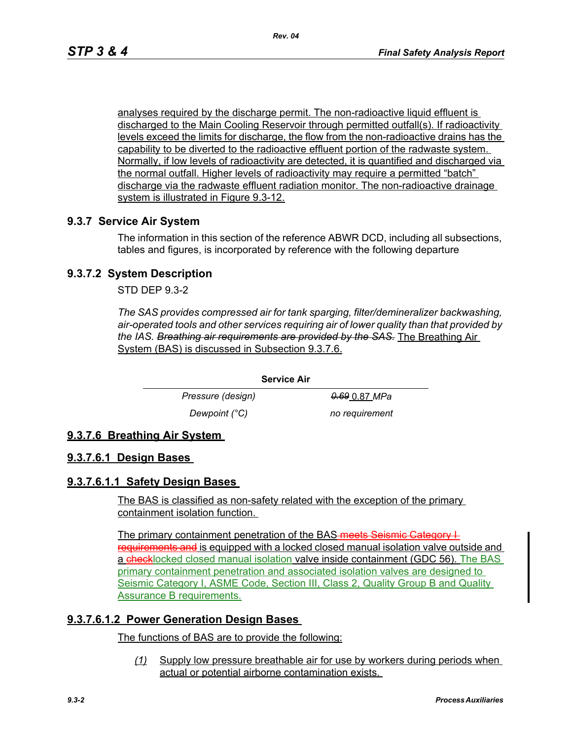analyses required by the discharge permit. The non-radioactive liquid effluent is discharged to the Main Cooling Reservoir through permitted outfall(s). If radioactivity levels exceed the limits for discharge, the flow from the non-radioactive drains has the capability to be diverted to the radioactive effluent portion of the radwaste system. Normally, if low levels of radioactivity are detected, it is quantified and discharged via the normal outfall. Higher levels of radioactivity may require a permitted "batch" discharge via the radwaste effluent radiation monitor. The non-radioactive drainage system is illustrated in Figure 9.3-12.

### **9.3.7 Service Air System**

The information in this section of the reference ABWR DCD, including all subsections, tables and figures, is incorporated by reference with the following departure

## **9.3.7.2 System Description**

STD DEP 9.3-2

*The SAS provides compressed air for tank sparging, filter/demineralizer backwashing, air-operated tools and other services requiring air of lower quality than that provided by the IAS. Breathing air requirements are provided by the SAS.* The Breathing Air System (BAS) is discussed in Subsection 9.3.7.6.

**Service Air**

*Pressure (design)* 0.69 0.87 *MPa Dewpoint (°C)* no requirement

# **9.3.7.6 Breathing Air System**

### **9.3.7.6.1 Design Bases**

### **9.3.7.6.1.1 Safety Design Bases**

The BAS is classified as non-safety related with the exception of the primary containment isolation function.

The primary containment penetration of the BAS-meets Seismic Category I requirements and is equipped with a locked closed manual isolation valve outside and a checklocked closed manual isolation valve inside containment (GDC 56). The BAS primary containment penetration and associated isolation valves are designed to Seismic Category I, ASME Code, Section III, Class 2, Quality Group B and Quality Assurance B requirements.

### **9.3.7.6.1.2 Power Generation Design Bases**

The functions of BAS are to provide the following:

*(1)* Supply low pressure breathable air for use by workers during periods when actual or potential airborne contamination exists.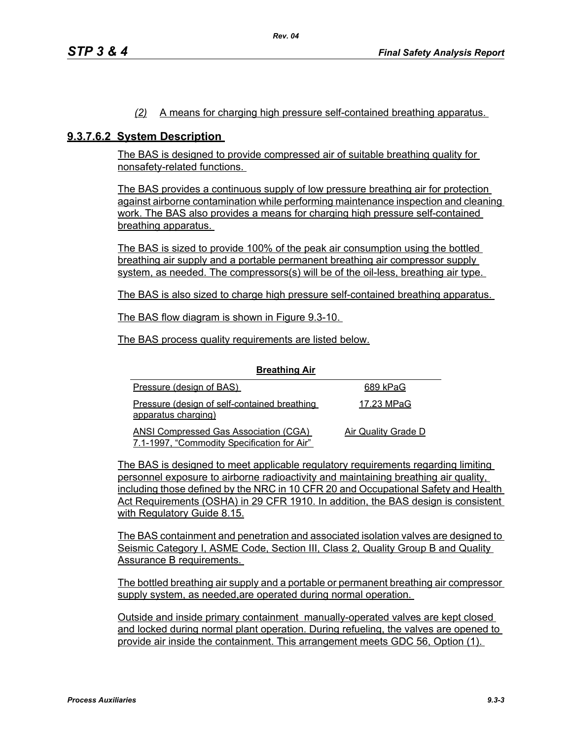#### *(2)* A means for charging high pressure self-contained breathing apparatus.

#### **9.3.7.6.2 System Description**

The BAS is designed to provide compressed air of suitable breathing quality for nonsafety-related functions.

The BAS provides a continuous supply of low pressure breathing air for protection against airborne contamination while performing maintenance inspection and cleaning work. The BAS also provides a means for charging high pressure self-contained breathing apparatus.

The BAS is sized to provide 100% of the peak air consumption using the bottled breathing air supply and a portable permanent breathing air compressor supply system, as needed. The compressors(s) will be of the oil-less, breathing air type.

The BAS is also sized to charge high pressure self-contained breathing apparatus.

The BAS flow diagram is shown in Figure 9.3-10.

The BAS process quality requirements are listed below.

| <b>Preditional</b>                                                                          |                     |
|---------------------------------------------------------------------------------------------|---------------------|
| Pressure (design of BAS)                                                                    | 689 kPaG            |
| Pressure (design of self-contained breathing<br>apparatus charging)                         | 17.23 MPaG          |
| <b>ANSI Compressed Gas Association (CGA)</b><br>7.1-1997, "Commodity Specification for Air" | Air Quality Grade D |

**Breathing Air**

The BAS is designed to meet applicable regulatory requirements regarding limiting personnel exposure to airborne radioactivity and maintaining breathing air quality, including those defined by the NRC in 10 CFR 20 and Occupational Safety and Health Act Requirements (OSHA) in 29 CFR 1910. In addition, the BAS design is consistent with Regulatory Guide 8.15.

The BAS containment and penetration and associated isolation valves are designed to Seismic Category I, ASME Code, Section III, Class 2, Quality Group B and Quality Assurance B requirements.

The bottled breathing air supply and a portable or permanent breathing air compressor supply system, as needed, are operated during normal operation.

Outside and inside primary containment manually-operated valves are kept closed and locked during normal plant operation. During refueling, the valves are opened to provide air inside the containment. This arrangement meets GDC 56, Option (1).

#### *Process Auxiliaries 9.3-3*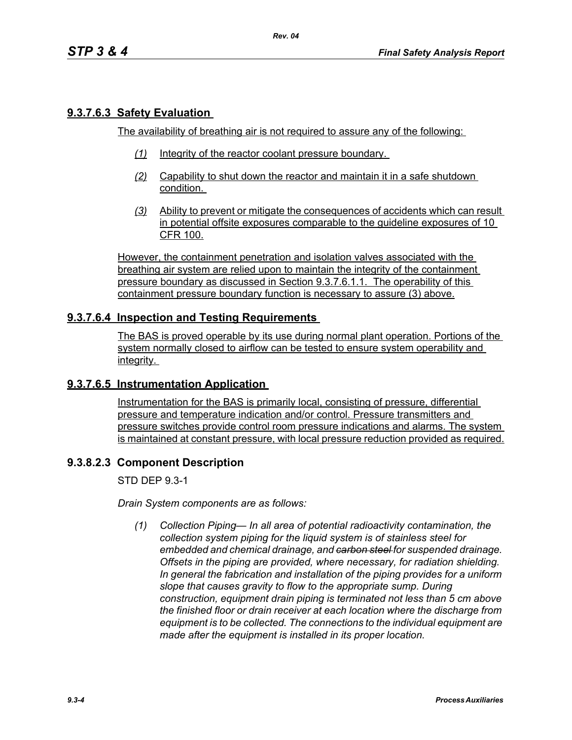### **9.3.7.6.3 Safety Evaluation**

The availability of breathing air is not required to assure any of the following:

*Rev. 04*

- *(1)* Integrity of the reactor coolant pressure boundary.
- *(2)* Capability to shut down the reactor and maintain it in a safe shutdown condition.
- *(3)* Ability to prevent or mitigate the consequences of accidents which can result in potential offsite exposures comparable to the guideline exposures of 10 CFR 100.

However, the containment penetration and isolation valves associated with the breathing air system are relied upon to maintain the integrity of the containment pressure boundary as discussed in Section 9.3.7.6.1.1. The operability of this containment pressure boundary function is necessary to assure (3) above.

### **9.3.7.6.4 Inspection and Testing Requirements**

The BAS is proved operable by its use during normal plant operation. Portions of the system normally closed to airflow can be tested to ensure system operability and integrity.

### **9.3.7.6.5 Instrumentation Application**

Instrumentation for the BAS is primarily local, consisting of pressure, differential pressure and temperature indication and/or control. Pressure transmitters and pressure switches provide control room pressure indications and alarms. The system is maintained at constant pressure, with local pressure reduction provided as required.

#### **9.3.8.2.3 Component Description**

STD DEP 9.3-1

*Drain System components are as follows:*

*(1) Collection Piping— In all area of potential radioactivity contamination, the collection system piping for the liquid system is of stainless steel for embedded and chemical drainage, and carbon steel for suspended drainage. Offsets in the piping are provided, where necessary, for radiation shielding. In general the fabrication and installation of the piping provides for a uniform slope that causes gravity to flow to the appropriate sump. During construction, equipment drain piping is terminated not less than 5 cm above the finished floor or drain receiver at each location where the discharge from equipment is to be collected. The connections to the individual equipment are made after the equipment is installed in its proper location.*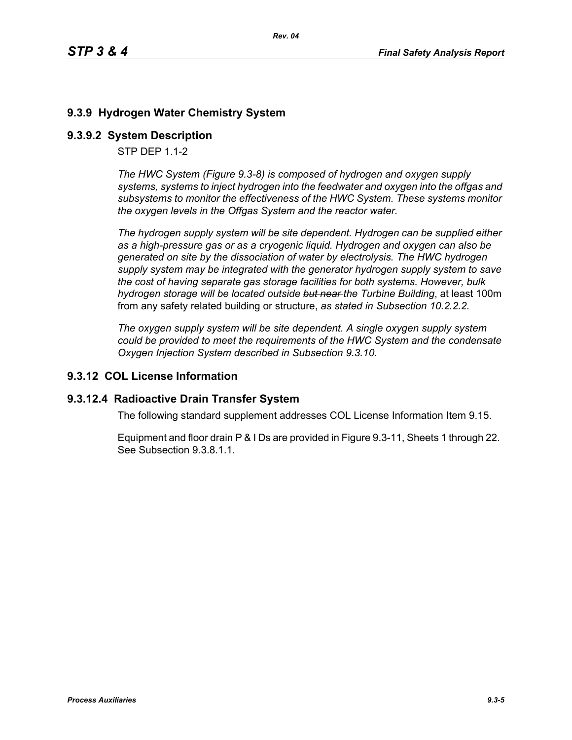# **9.3.9 Hydrogen Water Chemistry System**

## **9.3.9.2 System Description**

STP DEP 1.1-2

*The HWC System (Figure 9.3-8) is composed of hydrogen and oxygen supply systems, systems to inject hydrogen into the feedwater and oxygen into the offgas and subsystems to monitor the effectiveness of the HWC System. These systems monitor the oxygen levels in the Offgas System and the reactor water.*

*The hydrogen supply system will be site dependent. Hydrogen can be supplied either as a high-pressure gas or as a cryogenic liquid. Hydrogen and oxygen can also be generated on site by the dissociation of water by electrolysis. The HWC hydrogen supply system may be integrated with the generator hydrogen supply system to save the cost of having separate gas storage facilities for both systems. However, bulk hydrogen storage will be located outside but near the Turbine Building*, at least 100m from any safety related building or structure, *as stated in Subsection 10.2.2.2.*

*The oxygen supply system will be site dependent. A single oxygen supply system could be provided to meet the requirements of the HWC System and the condensate Oxygen Injection System described in Subsection 9.3.10.*

## **9.3.12 COL License Information**

### **9.3.12.4 Radioactive Drain Transfer System**

The following standard supplement addresses COL License Information Item 9.15.

Equipment and floor drain P & I Ds are provided in Figure 9.3-11, Sheets 1 through 22. See Subsection 9.3.8.1.1.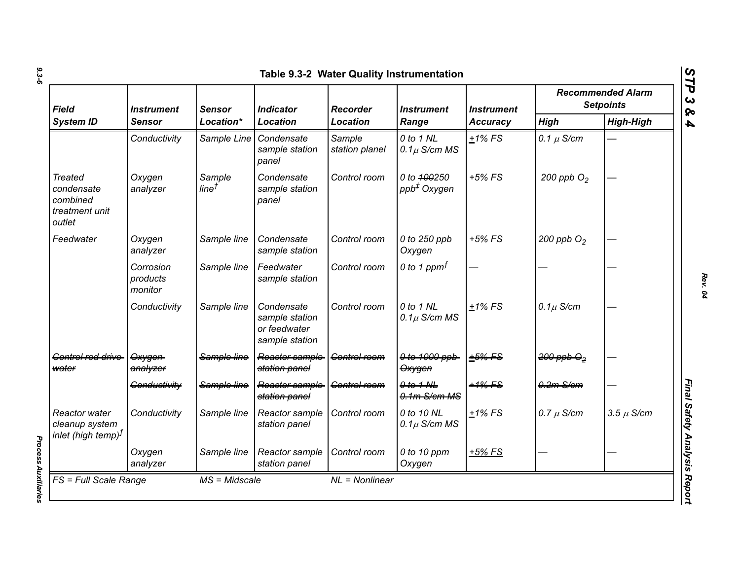| Field<br><b>System ID</b>                                            | <i><b>Instrument</b></i><br>Sensor | <b>Sensor</b><br>Location*  | <b>Indicator</b><br><b>Location</b>                            | <b>Recorder</b><br><b>Location</b> | <i><b>Instrument</b></i><br>Range      | <b>Instrument</b><br><b>Accuracy</b> | <b>Recommended Alarm</b><br><b>Setpoints</b> |                  |
|----------------------------------------------------------------------|------------------------------------|-----------------------------|----------------------------------------------------------------|------------------------------------|----------------------------------------|--------------------------------------|----------------------------------------------|------------------|
|                                                                      |                                    |                             |                                                                |                                    |                                        |                                      | <b>High</b>                                  | <b>High-High</b> |
|                                                                      | Conductivity                       | Sample Line                 | Condensate<br>sample station<br>panel                          | Sample<br>station planel           | 0 to 1 NL<br>$0.1\mu$ S/cm MS          | $+1\%$ FS                            | 0.1 $\mu$ S/cm                               |                  |
| <b>Treated</b><br>condensate<br>combined<br>treatment unit<br>outlet | Oxygen<br>analyzer                 | Sample<br>line <sup>†</sup> | Condensate<br>sample station<br>panel                          | Control room                       | 0 to 400250<br>ppb <sup>+</sup> Oxygen | $+5%$ FS                             | 200 ppb $O2$                                 |                  |
| Feedwater                                                            | Oxygen<br>analyzer                 | Sample line                 | Condensate<br>sample station                                   | Control room                       | 0 to 250 ppb<br>Oxygen                 | $+5\%$ FS                            | 200 ppb $O2$                                 |                  |
|                                                                      | Corrosion<br>products<br>monitor   | Sample line                 | Feedwater<br>sample station                                    | Control room                       | 0 to 1 ppm $f$                         |                                      |                                              |                  |
|                                                                      | Conductivity                       | Sample line                 | Condensate<br>sample station<br>or feedwater<br>sample station | Control room                       | 0 to 1 NL<br>$0.1\mu$ S/cm MS          | $+1\%$ FS                            | $0.1\mu$ S/cm                                |                  |
| Gentrel red drive<br>water                                           | Oxygen<br>analyzer                 | Sample line                 | Reactor sample<br>station panel                                | Control room                       | 0 to 1000 ppb<br>Oxygen                | $+5%$ FS                             | $200$ ppb $\Theta_2$                         |                  |
|                                                                      | Conductivity                       | Sample line                 | Reactor sample<br>station panel                                | <b>Control room</b>                | $0$ to $1$ NL<br>$0.1m$ S/cm MS        | $+1\%$ FS                            | $0.2m-S/cm$                                  |                  |
| Reactor water<br>cleanup system<br>$ $ inlet (high temp) $^f$        | Conductivity                       | Sample line                 | Reactor sample<br>station panel                                | Control room                       | 0 to 10 NL<br>$0.1\mu$ S/cm MS         | $+1\%$ FS                            | $0.7 \mu$ S/cm                               | $3.5 \mu$ S/cm   |
|                                                                      | Oxygen<br>analyzer                 | Sample line                 | Reactor sample<br>station panel                                | Control room                       | 0 to 10 ppm<br>Oxygen                  | $+5%$ FS                             |                                              |                  |

**Process Auxiliaries** *Process Auxiliaries* 

*Rev. 04*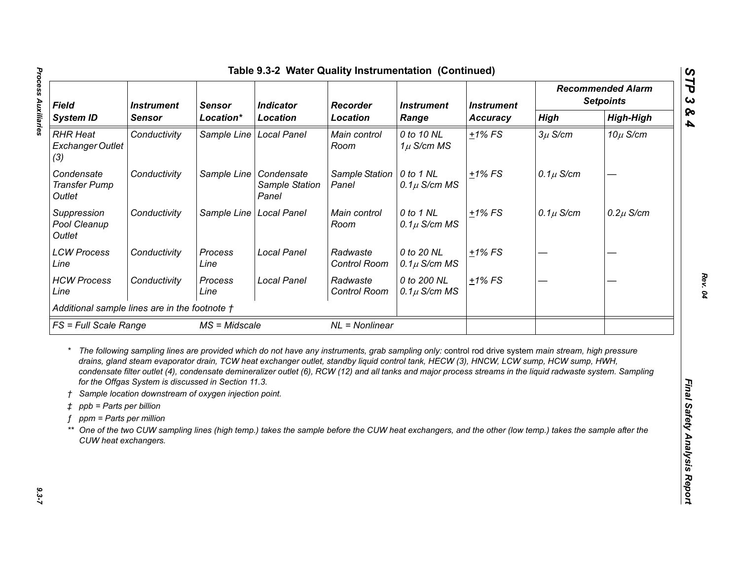| <b>Field</b><br><b>System ID</b>                                                      |                                                                                                              | <b>Indicator</b><br><b>Instrument</b><br><b>Sensor</b><br><b>Location</b><br>Location* |                                                                                                                                                                                                                                                                                                                                                                                                                                                                                                                                                                                                                       | <b>Recorder</b>          | <b>Instrument</b><br>Range      | <b>Instrument</b><br>Accuracy | <b>Recommended Alarm</b><br><b>Setpoints</b> |                  |
|---------------------------------------------------------------------------------------|--------------------------------------------------------------------------------------------------------------|----------------------------------------------------------------------------------------|-----------------------------------------------------------------------------------------------------------------------------------------------------------------------------------------------------------------------------------------------------------------------------------------------------------------------------------------------------------------------------------------------------------------------------------------------------------------------------------------------------------------------------------------------------------------------------------------------------------------------|--------------------------|---------------------------------|-------------------------------|----------------------------------------------|------------------|
|                                                                                       | <b>Sensor</b>                                                                                                |                                                                                        | Location                                                                                                                                                                                                                                                                                                                                                                                                                                                                                                                                                                                                              |                          |                                 |                               | <b>High</b>                                  | <b>High-High</b> |
| <b>RHR Heat</b><br>Exchanger Outlet<br>(3)                                            | Conductivity                                                                                                 | Sample Line                                                                            | <b>Local Panel</b>                                                                                                                                                                                                                                                                                                                                                                                                                                                                                                                                                                                                    | Main control<br>Room     | 0 to 10 NL<br>$1\mu$ S/cm MS    | $+1\%$ FS                     | $3\mu$ S/cm                                  | $10\mu$ S/cm     |
| Condensate<br><b>Transfer Pump</b><br>Outlet                                          | Conductivity                                                                                                 | Sample Line   Condensate                                                               | Sample Station<br>Panel                                                                                                                                                                                                                                                                                                                                                                                                                                                                                                                                                                                               | Sample Station<br>Panel  | 0 to 1 NL<br>$0.1\mu$ S/cm MS   | $+1\%$ FS                     | $0.1\mu$ S/cm                                |                  |
| Suppression<br>Pool Cleanup<br>Outlet                                                 | Conductivity                                                                                                 | Sample Line                                                                            | Local Panel                                                                                                                                                                                                                                                                                                                                                                                                                                                                                                                                                                                                           | Main control<br>Room     | 0 to 1 NL<br>$0.1\mu$ S/cm MS   | $+1\%$ FS                     | $0.1\mu$ S/cm                                | $0.2\mu$ S/cm    |
| <b>LCW Process</b><br>Line                                                            | Conductivity                                                                                                 | Process<br>Line                                                                        | <b>Local Panel</b>                                                                                                                                                                                                                                                                                                                                                                                                                                                                                                                                                                                                    | Radwaste<br>Control Room | 0 to 20 NL<br>$0.1\mu$ S/cm MS  | $±1\%$ FS                     |                                              |                  |
| <b>HCW Process</b><br>Line                                                            | Conductivity                                                                                                 | Process<br>Line                                                                        | <b>Local Panel</b>                                                                                                                                                                                                                                                                                                                                                                                                                                                                                                                                                                                                    | Radwaste<br>Control Room | 0 to 200 NL<br>$0.1\mu$ S/cm MS | $±1\%$ FS                     |                                              |                  |
| Additional sample lines are in the footnote t                                         |                                                                                                              |                                                                                        |                                                                                                                                                                                                                                                                                                                                                                                                                                                                                                                                                                                                                       |                          |                                 |                               |                                              |                  |
|                                                                                       | FS = Full Scale Range<br>$MS = Midscale$                                                                     |                                                                                        | $NL = Nonlinear$                                                                                                                                                                                                                                                                                                                                                                                                                                                                                                                                                                                                      |                          |                                 |                               |                                              |                  |
| $\uparrow$ ppb = Parts per billion<br>ppm = Parts per million<br>CUW heat exchangers. | for the Offgas System is discussed in Section 11.3.<br>Sample location downstream of oxygen injection point. |                                                                                        | The following sampling lines are provided which do not have any instruments, grab sampling only: control rod drive system main stream, high pressure<br>drains, gland steam evaporator drain, TCW heat exchanger outlet, standby liquid control tank, HECW (3), HNCW, LCW sump, HCW sump, HWH,<br>condensate filter outlet (4), condensate demineralizer outlet (6), RCW (12) and all tanks and major process streams in the liquid radwaste system. Sampling<br>One of the two CUW sampling lines (high temp.) takes the sample before the CUW heat exchangers, and the other (low temp.) takes the sample after the |                          |                                 |                               |                                              |                  |

 $9.3 - 7$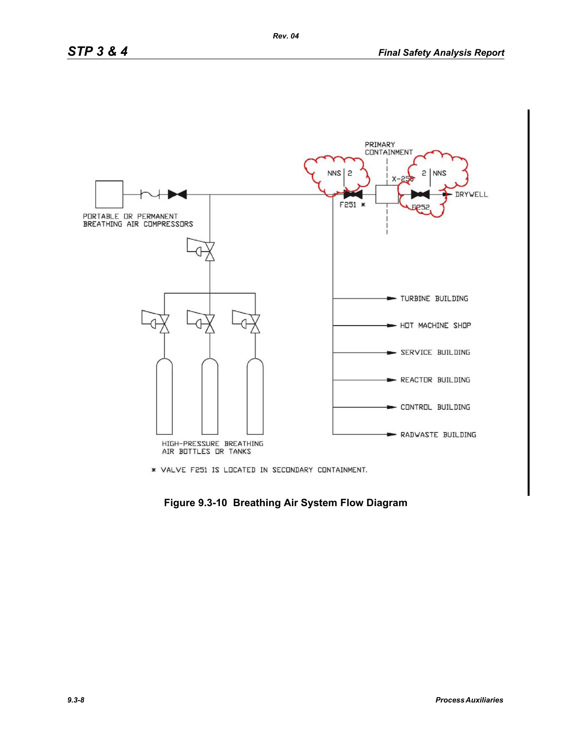

\* VALVE F251 IS LOCATED IN SECONDARY CONTAINMENT.

**Figure 9.3-10 Breathing Air System Flow Diagram**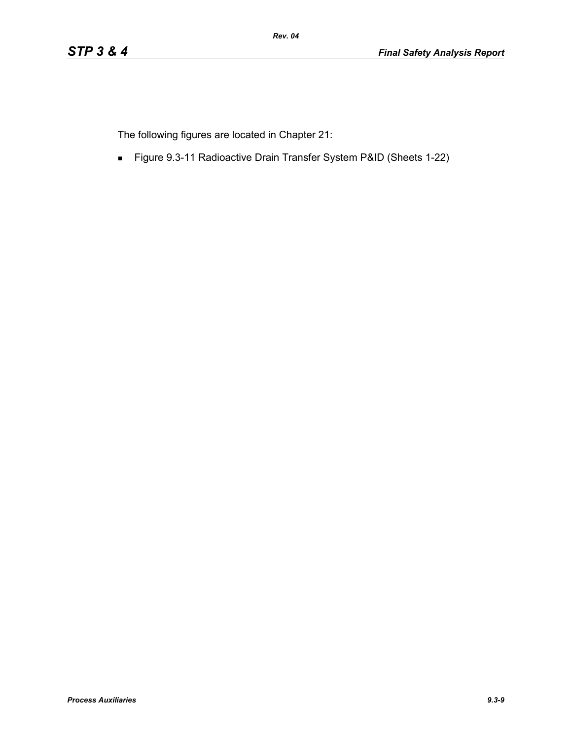The following figures are located in Chapter 21:

Figure 9.3-11 Radioactive Drain Transfer System P&ID (Sheets 1-22)